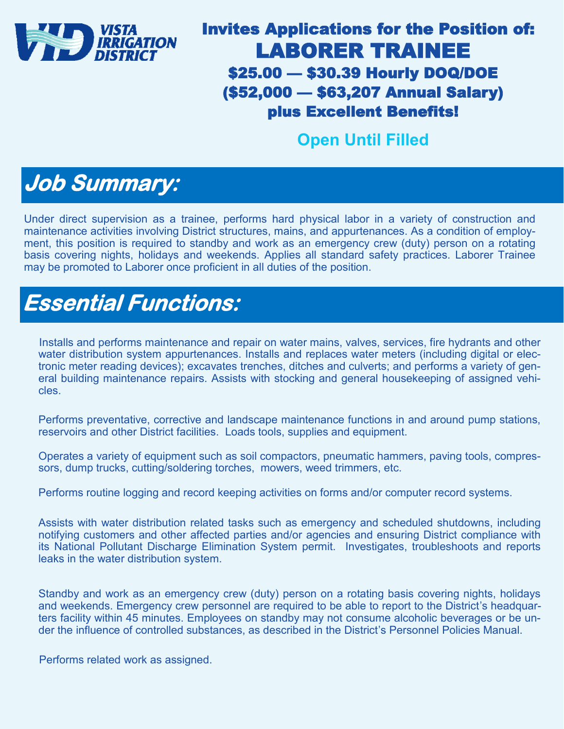

### Invites Applications for the Position of: LABORER TRAINEE \$25.00 — \$30.39 Hourly DOQ/DOE (\$52,000 — \$63,207 Annual Salary) plus Excellent Benefits!

#### **Open Until Filled**

## **Job Summary:**

Under direct supervision as a trainee, performs hard physical labor in a variety of construction and maintenance activities involving District structures, mains, and appurtenances. As a condition of employment, this position is required to standby and work as an emergency crew (duty) person on a rotating basis covering nights, holidays and weekends. Applies all standard safety practices. Laborer Trainee may be promoted to Laborer once proficient in all duties of the position.

### **Essential Functions:**

Installs and performs maintenance and repair on water mains, valves, services, fire hydrants and other water distribution system appurtenances. Installs and replaces water meters (including digital or electronic meter reading devices); excavates trenches, ditches and culverts; and performs a variety of general building maintenance repairs. Assists with stocking and general housekeeping of assigned vehicles.

Performs preventative, corrective and landscape maintenance functions in and around pump stations, reservoirs and other District facilities. Loads tools, supplies and equipment.

Operates a variety of equipment such as soil compactors, pneumatic hammers, paving tools, compressors, dump trucks, cutting/soldering torches, mowers, weed trimmers, etc.

Performs routine logging and record keeping activities on forms and/or computer record systems.

Assists with water distribution related tasks such as emergency and scheduled shutdowns, including notifying customers and other affected parties and/or agencies and ensuring District compliance with its National Pollutant Discharge Elimination System permit. Investigates, troubleshoots and reports leaks in the water distribution system.

Standby and work as an emergency crew (duty) person on a rotating basis covering nights, holidays and weekends. Emergency crew personnel are required to be able to report to the District's headquarters facility within 45 minutes. Employees on standby may not consume alcoholic beverages or be under the influence of controlled substances, as described in the District's Personnel Policies Manual.

Performs related work as assigned.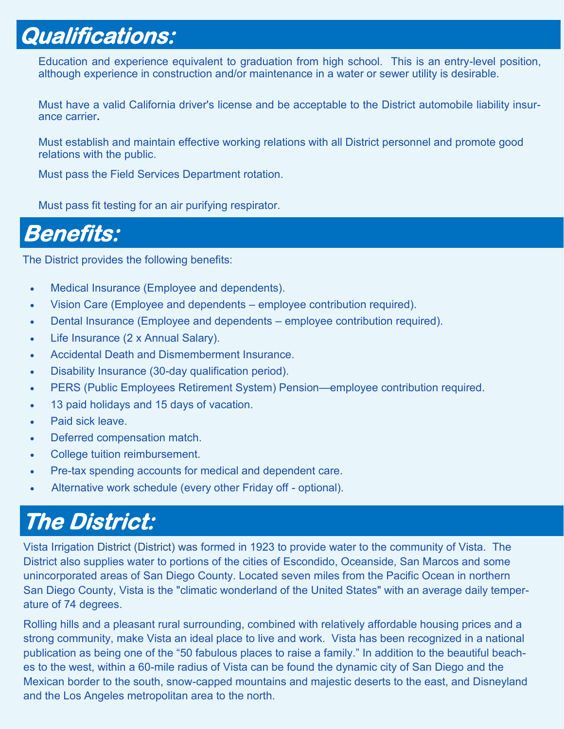## **Qualifications:**

Education and experience equivalent to graduation from high school. This is an entry-level position, although experience in construction and/or maintenance in a water or sewer utility is desirable.

Must have a valid California driver's license and be acceptable to the District automobile liability insurance carrier**.**

Must establish and maintain effective working relations with all District personnel and promote good relations with the public.

Must pass the Field Services Department rotation.

Must pass fit testing for an air purifying respirator.

### **Benefits:**

The District provides the following benefits:

- Medical Insurance (Employee and dependents).
- Vision Care (Employee and dependents employee contribution required).
- Dental Insurance (Employee and dependents employee contribution required).
- Life Insurance (2 x Annual Salary).
- Accidental Death and Dismemberment Insurance.
- Disability Insurance (30-day qualification period).
- PERS (Public Employees Retirement System) Pension—employee contribution required.
- 13 paid holidays and 15 days of vacation.
- Paid sick leave.
- Deferred compensation match.
- College tuition reimbursement.
- Pre-tax spending accounts for medical and dependent care.
- Alternative work schedule (every other Friday off optional).

# **The District:**

Vista Irrigation District (District) was formed in 1923 to provide water to the community of Vista. The District also supplies water to portions of the cities of Escondido, Oceanside, San Marcos and some unincorporated areas of San Diego County. Located seven miles from the Pacific Ocean in northern San Diego County, Vista is the "climatic wonderland of the United States" with an average daily temperature of 74 degrees.

Rolling hills and a pleasant rural surrounding, combined with relatively affordable housing prices and a strong community, make Vista an ideal place to live and work. Vista has been recognized in a national publication as being one of the "50 fabulous places to raise a family." In addition to the beautiful beaches to the west, within a 60-mile radius of Vista can be found the dynamic city of San Diego and the Mexican border to the south, snow-capped mountains and majestic deserts to the east, and Disneyland and the Los Angeles metropolitan area to the north.